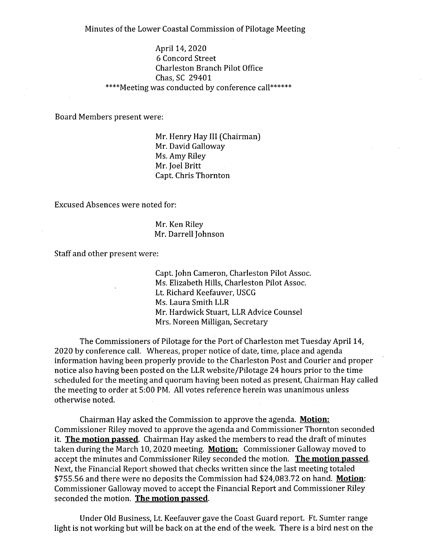Minutes of the Lower Coastal Commission of Pilotage Meeting

April 14, 2020 6 Concord Street Charleston Branch Pilot Office Chas, SC 29401 \*\*\*\*Meeting was conducted by conference call\*\*\*\*\*\*

Board Members present were:

Mr. Henry Hay III (Chairman) Mr. David Galloway Ms. Amy Riley Mr. Joel Britt Capt. Chris Thornton

Excused Absences were noted for:

Mr. Ken Riley Mr. Darrell Johnson

Staff and other present were:

Capt. John Cameron, Charleston Pilot Assoc. Ms. Elizabeth Hills, Charleston Pilot Assoc. Lt. Richard Keefauver, USCG Ms. Laura Smith LLR Mr. Hardwick Stuart, LLR Advice Counsel Mrs. Noreen Milligan, Secretary

The Commissioners of Pilotage for the Port of Charleston met Tuesday April 14, 2020 by conference call. Whereas, proper notice of date, time, place and agenda information having been properly provide to the Charleston Post and Courier and proper notice also having been posted on the LLR website/Pilotage 24 hours prior to the time scheduled for the meeting and quorum having been noted as present, Chairman Hay called the meeting to order at 5:00 PM. All votes reference herein was unanimous unless otherwise noted.

Chairman Hay asked the Commission to approve the agenda. **Motion:**  Commissioner Riley moved to approve the agenda and Commissioner Thornton seconded it. **The motion passed.** Chairman Hay asked the members to read the draft of minutes taken during the March 10, 2020 meeting. **Motion:** Commissioner Galloway moved to accept the minutes and Commissioner Riley seconded the motion. **The motion passed.**  Next, the Financial Report showed that checks written since the last meeting totaled \$755.56 and there were no deposits the Commission had \$24,083.72 on hand. **Motion:**  Commissioner Galloway moved to accept the Financial Report and Commissioner Riley seconded the motion. **The motion passed.** 

Under Old Business, Lt. Keefauver gave the Coast Guard report. Ft. Sumter range light is not working but will be back on at the end of the week. There is a bird nest on the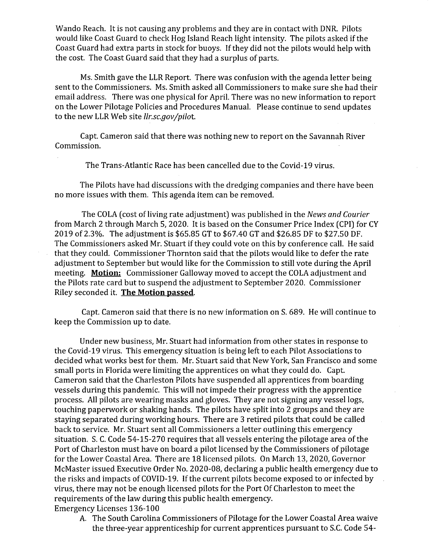Wando Reach. It is not causing any problems and they are in contact with DNR. Pilots would like Coast Guard to check Hog Island Reach light intensity. The pilots asked if the Coast Guard had extra parts in stock for buoys. If they did not the pilots would help with the cost. The Coast Guard said that they had a surplus of parts.

Ms. Smith gave the LLR Report. There was confusion with the agenda letter being sent to the Commissioners. Ms. Smith asked all Commissioners to make sure she had their email address. There was one physical for April. There was no new information to report on the Lower Pilotage Policies and Procedures Manual. Please continue to send updates to the new LLR Web site *11r.sc.gov/pilot.* 

Capt. Cameron said that there was nothing new to report on the Savannah River Commission.

The Trans-Atlantic Race has been cancelled due to the Covid-19 virus.

The Pilots have had discussions with the dredging companies and there have been no more issues with them. This agenda item can be removed.

The COLA (cost of living rate adjustment) was published in the *News and Courier*  from March 2 through March 5, 2020. It is based on the Consumer Price Index (CPI) for CY 2019 of 2.3%. The adjustment is \$65.85 GT to \$67.40 GT and \$26.85 DF to \$27.50 DF. The Commissioners asked Mr. Stuart if they could vote on this by conference call. He said that they could. Commissioner Thornton said that the pilots would like to defer the rate adjustment to September but would like for the Commission to still vote during the April meeting. **Motion:** Commissioner Galloway moved to accept the COLA adjustment and the Pilots rate card but to suspend the adjustment to September 2020. Commissioner Riley seconded it. **The Motion passed.** 

Capt. Cameron said that there is no new information on S. 689. He will continue to keep the Commission up to date.

Under new business, Mr. Stuart had information from other states in response to the Covid-19 virus. This emergency situation is being left to each Pilot Associations to decided what works best for them. Mr. Stuart said that New York, San Francisco and some small ports in Florida were limiting the apprentices on what they could do. Capt. Cameron said that the Charleston Pilots have suspended all apprentices from boarding vessels during this pandemic. This will not impede their progress with the apprentice process. All pilots are wearing masks and gloves. They are not signing any vessel logs, touching paperwork or shaking hands. The pilots have split into 2 groups and they are staying separated during working hours. There are 3 retired pilots that could be called back to service. Mr. Stuart sent all Commissioners a letter outlining this emergency situation. S. C. Code 54-15-270 requires that all vessels entering the pilotage area of the Port of Charleston must have on board a pilot licensed by the Commissioners of pilotage for the Lower Coastal Area. There are 18 licensed pilots. On March 13, 2020, Governor McMaster issued Executive Order No. 2020-08, declaring a public health emergency due to the risks and impacts of COVID-19. If the current pilots become exposed to or infected by virus, there may not be enough licensed pilots for the Port Of Charleston to meet the requirements of the law during this public health emergency. Emergency Licenses 136-100

A. The South Carolina Commissioners of Pilotage for the Lower Coastal Area waive the three-year apprenticeship for current apprentices pursuant to S.C. Code 54